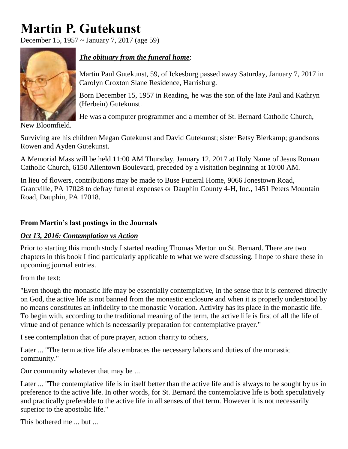# **Martin P. Gutekunst**

December 15, 1957 ~ January 7, 2017 (age 59)



## *The obituary from the funeral home*:

Martin Paul Gutekunst, 59, of Ickesburg passed away Saturday, January 7, 2017 in Carolyn Croxton Slane Residence, Harrisburg.

Born December 15, 1957 in Reading, he was the son of the late Paul and Kathryn (Herbein) Gutekunst.

He was a computer programmer and a member of St. Bernard Catholic Church,

New Bloomfield.

Surviving are his children Megan Gutekunst and David Gutekunst; sister Betsy Bierkamp; grandsons Rowen and Ayden Gutekunst.

A Memorial Mass will be held 11:00 AM Thursday, January 12, 2017 at Holy Name of Jesus Roman Catholic Church, 6150 Allentown Boulevard, preceded by a visitation beginning at 10:00 AM.

In lieu of flowers, contributions may be made to Buse Funeral Home, 9066 Jonestown Road, Grantville, PA 17028 to defray funeral expenses or Dauphin County 4-H, Inc., 1451 Peters Mountain Road, Dauphin, PA 17018.

#### **From Martin's last postings in the Journals**

#### *Oct 13, 2016: Contemplation vs Action*

Prior to starting this month study I started reading Thomas Merton on St. Bernard. There are two chapters in this book I find particularly applicable to what we were discussing. I hope to share these in upcoming journal entries.

from the text:

"Even though the monastic life may be essentially contemplative, in the sense that it is centered directly on God, the active life is not banned from the monastic enclosure and when it is properly understood by no means constitutes an infidelity to the monastic Vocation. Activity has its place in the monastic life. To begin with, according to the traditional meaning of the term, the active life is first of all the life of virtue and of penance which is necessarily preparation for contemplative prayer."

I see contemplation that of pure prayer, action charity to others,

Later ... "The term active life also embraces the necessary labors and duties of the monastic community."

Our community whatever that may be ...

Later ... "The contemplative life is in itself better than the active life and is always to be sought by us in preference to the active life. In other words, for St. Bernard the contemplative life is both speculatively and practically preferable to the active life in all senses of that term. However it is not necessarily superior to the apostolic life."

This bothered me ... but ...